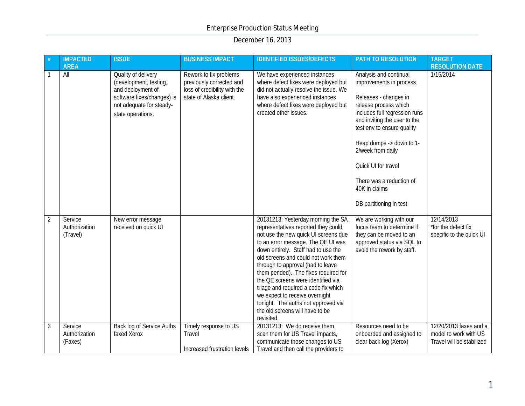| #              | <b>IMPACTED</b><br><b>AREA</b>       | <b>ISSUE</b>                                                                                                                                      | <b>BUSINESS IMPACT</b>                                                                                        | <b>IDENTIFIED ISSUES/DEFECTS</b>                                                                                                                                                                                                                                                                                                                                                                                                                                                                                           | <b>PATH TO RESOLUTION</b>                                                                                                                                                                                                                                                                                                                           | <b>TARGET</b><br><b>RESOLUTION DATE</b>                                      |
|----------------|--------------------------------------|---------------------------------------------------------------------------------------------------------------------------------------------------|---------------------------------------------------------------------------------------------------------------|----------------------------------------------------------------------------------------------------------------------------------------------------------------------------------------------------------------------------------------------------------------------------------------------------------------------------------------------------------------------------------------------------------------------------------------------------------------------------------------------------------------------------|-----------------------------------------------------------------------------------------------------------------------------------------------------------------------------------------------------------------------------------------------------------------------------------------------------------------------------------------------------|------------------------------------------------------------------------------|
| 1              | All                                  | Quality of delivery<br>(development, testing,<br>and deployment of<br>software fixes/changes) is<br>not adequate for steady-<br>state operations. | Rework to fix problems<br>previously corrected and<br>loss of credibility with the<br>state of Alaska client. | We have experienced instances<br>where defect fixes were deployed but<br>did not actually resolve the issue. We<br>have also experienced instances<br>where defect fixes were deployed but<br>created other issues.                                                                                                                                                                                                                                                                                                        | Analysis and continual<br>improvements in process.<br>Releases - changes in<br>release process which<br>includes full regression runs<br>and inviting the user to the<br>test env to ensure quality<br>Heap dumps -> down to 1-<br>2/week from daily<br>Quick UI for travel<br>There was a reduction of<br>40K in claims<br>DB partitioning in test | 1/15/2014                                                                    |
| $\overline{2}$ | Service<br>Authorization<br>(Travel) | New error message<br>received on quick UI                                                                                                         |                                                                                                               | 20131213: Yesterday morning the SA<br>representatives reported they could<br>not use the new quick UI screens due<br>to an error message. The QE UI was<br>down entirely. Staff had to use the<br>old screens and could not work them<br>through to approval (had to leave<br>them pended). The fixes required for<br>the QE screens were identified via<br>triage and required a code fix which<br>we expect to receive overnight<br>tonight. The auths not approved via<br>the old screens will have to be<br>revisited. | We are working with our<br>focus team to determine if<br>they can be moved to an<br>approved status via SQL to<br>avoid the rework by staff.                                                                                                                                                                                                        | 12/14/2013<br>*for the defect fix<br>specific to the quick UI                |
| 3              | Service<br>Authorization<br>(Faxes)  | Back log of Service Auths<br>faxed Xerox                                                                                                          | Timely response to US<br>Travel<br>Increased frustration levels                                               | 20131213: We do receive them,<br>scan them for US Travel impacts,<br>communicate those changes to US<br>Travel and then call the providers to                                                                                                                                                                                                                                                                                                                                                                              | Resources need to be<br>onboarded and assigned to<br>clear back log (Xerox)                                                                                                                                                                                                                                                                         | 12/20/2013 faxes and a<br>model to work with US<br>Travel will be stabilized |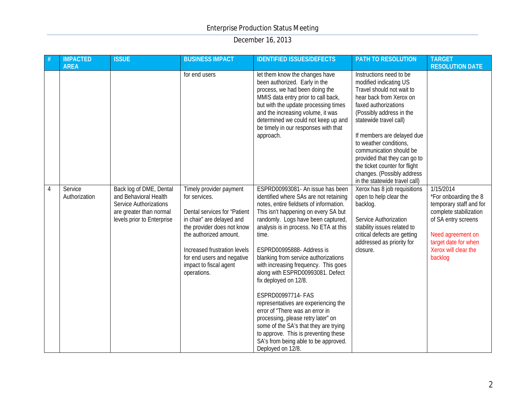|   | <b>IMPACTED</b><br><b>AREA</b> | <b>ISSUE</b>                                                                                                                               | <b>BUSINESS IMPACT</b>                                                                                                                                                                                                                                               | <b>IDENTIFIED ISSUES/DEFECTS</b>                                                                                                                                                                                                                                                                                                                                                                                                                                                                                                                                                                                                                                                                                      | PATH TO RESOLUTION                                                                                                                                                                                                                                                                                                                                                                                         | <b>TARGET</b><br><b>RESOLUTION DATE</b>                                                                                                                                                        |
|---|--------------------------------|--------------------------------------------------------------------------------------------------------------------------------------------|----------------------------------------------------------------------------------------------------------------------------------------------------------------------------------------------------------------------------------------------------------------------|-----------------------------------------------------------------------------------------------------------------------------------------------------------------------------------------------------------------------------------------------------------------------------------------------------------------------------------------------------------------------------------------------------------------------------------------------------------------------------------------------------------------------------------------------------------------------------------------------------------------------------------------------------------------------------------------------------------------------|------------------------------------------------------------------------------------------------------------------------------------------------------------------------------------------------------------------------------------------------------------------------------------------------------------------------------------------------------------------------------------------------------------|------------------------------------------------------------------------------------------------------------------------------------------------------------------------------------------------|
|   |                                |                                                                                                                                            | for end users                                                                                                                                                                                                                                                        | let them know the changes have<br>been authorized. Early in the<br>process, we had been doing the<br>MMIS data entry prior to call back,<br>but with the update processing times<br>and the increasing volume, it was<br>determined we could not keep up and<br>be timely in our responses with that<br>approach.                                                                                                                                                                                                                                                                                                                                                                                                     | Instructions need to be<br>modified indicating US<br>Travel should not wait to<br>hear back from Xerox on<br>faxed authorizations<br>(Possibly address in the<br>statewide travel call)<br>If members are delayed due<br>to weather conditions,<br>communication should be<br>provided that they can go to<br>the ticket counter for flight<br>changes. (Possibly address<br>in the statewide travel call) |                                                                                                                                                                                                |
| 4 | Service<br>Authorization       | Back log of DME, Dental<br>and Behavioral Health<br><b>Service Authorizations</b><br>are greater than normal<br>levels prior to Enterprise | Timely provider payment<br>for services.<br>Dental services for "Patient<br>in chair" are delayed and<br>the provider does not know<br>the authorized amount.<br>Increased frustration levels<br>for end users and negative<br>impact to fiscal agent<br>operations. | ESPRD00993081- An issue has been<br>identified where SAs are not retaining<br>notes, entire fieldsets of information.<br>This isn't happening on every SA but<br>randomly. Logs have been captured,<br>analysis is in process. No ETA at this<br>time.<br>ESPRD00995888- Address is<br>blanking from service authorizations<br>with increasing frequency. This goes<br>along with ESPRD00993081. Defect<br>fix deployed on 12/8.<br>ESPRD00997714- FAS<br>representatives are experiencing the<br>error of "There was an error in<br>processing, please retry later" on<br>some of the SA's that they are trying<br>to approve. This is preventing these<br>SA's from being able to be approved.<br>Deployed on 12/8. | Xerox has 8 job requisitions<br>open to help clear the<br>backlog.<br>Service Authorization<br>stability issues related to<br>critical defects are getting<br>addressed as priority for<br>closure.                                                                                                                                                                                                        | 1/15/2014<br>*For onboarding the 8<br>temporary staff and for<br>complete stabilization<br>of SA entry screens<br>Need agreement on<br>target date for when<br>Xerox will clear the<br>backlog |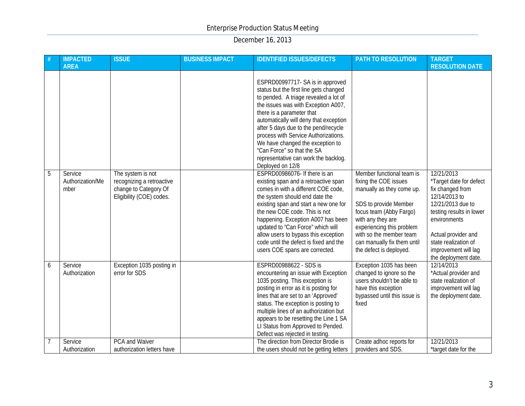|   | <b>IMPACTED</b><br><b>AREA</b>      | <b>ISSUE</b>                                                                                        | <b>BUSINESS IMPACT</b> | <b>IDENTIFIED ISSUES/DEFECTS</b>                                                                                                                                                                                                                                                                                                                                                                                                               | PATH TO RESOLUTION                                                                                                                                                                                                                                                         | <b>TARGET</b><br><b>RESOLUTION DATE</b>                                                                                                                                                                                                    |
|---|-------------------------------------|-----------------------------------------------------------------------------------------------------|------------------------|------------------------------------------------------------------------------------------------------------------------------------------------------------------------------------------------------------------------------------------------------------------------------------------------------------------------------------------------------------------------------------------------------------------------------------------------|----------------------------------------------------------------------------------------------------------------------------------------------------------------------------------------------------------------------------------------------------------------------------|--------------------------------------------------------------------------------------------------------------------------------------------------------------------------------------------------------------------------------------------|
|   |                                     |                                                                                                     |                        | ESPRD00997717-SA is in approved<br>status but the first line gets changed<br>to pended. A triage revealed a lot of<br>the issues was with Exception A007,<br>there is a parameter that<br>automatically will deny that exception<br>after 5 days due to the pend/recycle<br>process with Service Authorizations.<br>We have changed the exception to<br>"Can Force" so that the SA<br>representative can work the backlog.<br>Deployed on 12/8 |                                                                                                                                                                                                                                                                            |                                                                                                                                                                                                                                            |
| 5 | Service<br>Authorization/Me<br>mber | The system is not<br>recognizing a retroactive<br>change to Category Of<br>Eligibility (COE) codes. |                        | ESPRD00986076- If there is an<br>existing span and a retroactive span<br>comes in with a different COE code,<br>the system should end date the<br>existing span and start a new one for<br>the new COE code. This is not<br>happening. Exception A007 has been<br>updated to "Can Force" which will<br>allow users to bypass this exception<br>code until the defect is fixed and the<br>users COE spans are corrected.                        | Member functional team is<br>fixing the COE issues<br>manually as they come up.<br>SDS to provide Member<br>focus team (Abby Fargo)<br>with any they are<br>experiencing this problem<br>with so the member team<br>can manually fix them until<br>the defect is deployed. | 12/21/2013<br>*Target date for defect<br>fix changed from<br>12/14/2013 to<br>12/21/2013 due to<br>testing results in lower<br>environments<br>Actual provider and<br>state realization of<br>improvement will lag<br>the deployment date. |
| 6 | Service<br>Authorization            | Exception 1035 posting in<br>error for SDS                                                          |                        | ESPRD00988622 - SDS is<br>encountering an issue with Exception<br>1035 posting. This exception is<br>posting in error as it is posting for<br>lines that are set to an 'Approved'<br>status. The exception is posting to<br>multiple lines of an authorization but<br>appears to be resetting the Line 1 SA<br>LI Status from Approved to Pended.<br>Defect was rejected in testing.                                                           | Exception 1035 has been<br>changed to ignore so the<br>users shouldn't be able to<br>have this exception<br>bypassed until this issue is<br>fixed                                                                                                                          | 12/14/2013<br>*Actual provider and<br>state realization of<br>improvement will lag<br>the deployment date.                                                                                                                                 |
|   | Service<br>Authorization            | <b>PCA and Waiver</b><br>authorization letters have                                                 |                        | The direction from Director Brodie is<br>the users should not be getting letters                                                                                                                                                                                                                                                                                                                                                               | Create adhoc reports for<br>providers and SDS.                                                                                                                                                                                                                             | 12/21/2013<br>*target date for the                                                                                                                                                                                                         |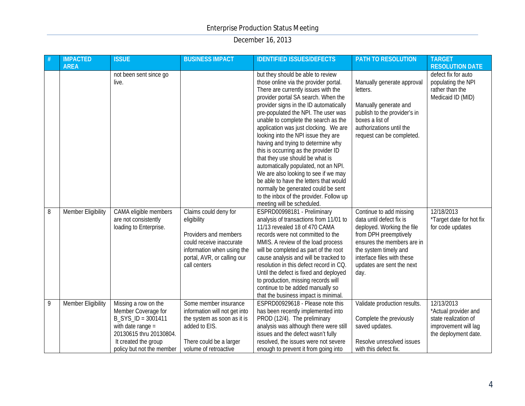|   | <b>IMPACTED</b>    | <b>ISSUE</b>                                                                                                                                                             | <b>BUSINESS IMPACT</b>                                                                                                                                                 | <b>IDENTIFIED ISSUES/DEFECTS</b>                                                                                                                                                                                                                                                                                                                                                                                                                                                                                                                                                                                                                                                               | <b>PATH TO RESOLUTION</b>                                                                                                                                                                                                            | <b>TARGET</b>                                                                                               |
|---|--------------------|--------------------------------------------------------------------------------------------------------------------------------------------------------------------------|------------------------------------------------------------------------------------------------------------------------------------------------------------------------|------------------------------------------------------------------------------------------------------------------------------------------------------------------------------------------------------------------------------------------------------------------------------------------------------------------------------------------------------------------------------------------------------------------------------------------------------------------------------------------------------------------------------------------------------------------------------------------------------------------------------------------------------------------------------------------------|--------------------------------------------------------------------------------------------------------------------------------------------------------------------------------------------------------------------------------------|-------------------------------------------------------------------------------------------------------------|
|   | <b>AREA</b>        | not been sent since go<br>live.                                                                                                                                          |                                                                                                                                                                        | but they should be able to review<br>those online via the provider portal.<br>There are currently issues with the<br>provider portal SA search. When the<br>provider signs in the ID automatically<br>pre-populated the NPI. The user was<br>unable to complete the search as the<br>application was just clocking. We are<br>looking into the NPI issue they are<br>having and trying to determine why<br>this is occurring as the provider ID<br>that they use should be what is<br>automatically populated, not an NPI.<br>We are also looking to see if we may<br>be able to have the letters that would<br>normally be generated could be sent<br>to the inbox of the provider. Follow up | Manually generate approval<br>letters.<br>Manually generate and<br>publish to the provider's in<br>boxes a list of<br>authorizations until the<br>request can be completed.                                                          | <b>RESOLUTION DATE</b><br>defect fix for auto<br>populating the NPI<br>rather than the<br>Medicaid ID (MID) |
| 8 | Member Eligibility | CAMA eligible members<br>are not consistently<br>loading to Enterprise.                                                                                                  | Claims could deny for<br>eligibility<br>Providers and members<br>could receive inaccurate<br>information when using the<br>portal, AVR, or calling our<br>call centers | meeting will be scheduled.<br>ESPRD00998181 - Preliminary<br>analysis of transactions from 11/01 to<br>11/13 revealed 18 of 470 CAMA<br>records were not committed to the<br>MMIS. A review of the load process<br>will be completed as part of the root<br>cause analysis and will be tracked to<br>resolution in this defect record in CQ.<br>Until the defect is fixed and deployed<br>to production, missing records will<br>continue to be added manually so<br>that the business impact is minimal.                                                                                                                                                                                      | Continue to add missing<br>data until defect fix is<br>deployed. Working the file<br>from DPH preemptively<br>ensures the members are in<br>the system timely and<br>interface files with these<br>updates are sent the next<br>day. | 12/18/2013<br>*Target date for hot fix<br>for code updates                                                  |
| 9 | Member Eligibility | Missing a row on the<br>Member Coverage for<br>B_SYS_ID = 3001411<br>with date range $=$<br>20130615 thru 20130804.<br>It created the group<br>policy but not the member | Some member insurance<br>information will not get into<br>the system as soon as it is<br>added to EIS.<br>There could be a larger<br>volume of retroactive             | ESPRD00929618 - Please note this<br>has been recently implemented into<br>PROD (12/4). The preliminary<br>analysis was although there were still<br>issues and the defect wasn't fully<br>resolved, the issues were not severe<br>enough to prevent it from going into                                                                                                                                                                                                                                                                                                                                                                                                                         | Validate production results.<br>Complete the previously<br>saved updates.<br>Resolve unresolved issues<br>with this defect fix.                                                                                                      | 12/13/2013<br>*Actual provider and<br>state realization of<br>improvement will lag<br>the deployment date.  |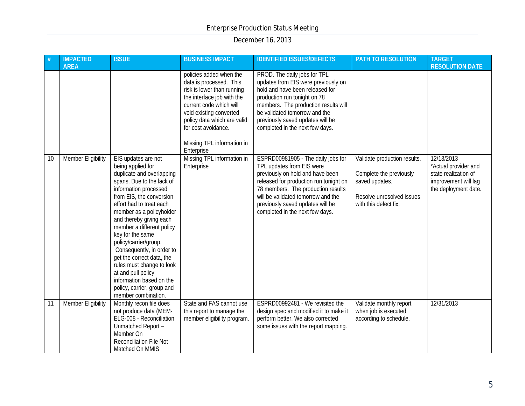|    | <b>IMPACTED</b><br><b>AREA</b> | <b>ISSUE</b>                                                                                                                                                                                                                                                                                                                                                                                                                                                                                                       | <b>BUSINESS IMPACT</b>                                                                                                                                                                                                                                                 | <b>IDENTIFIED ISSUES/DEFECTS</b>                                                                                                                                                                                                                                                                 | PATH TO RESOLUTION                                                                                                              | <b>TARGET</b><br><b>RESOLUTION DATE</b>                                                                    |
|----|--------------------------------|--------------------------------------------------------------------------------------------------------------------------------------------------------------------------------------------------------------------------------------------------------------------------------------------------------------------------------------------------------------------------------------------------------------------------------------------------------------------------------------------------------------------|------------------------------------------------------------------------------------------------------------------------------------------------------------------------------------------------------------------------------------------------------------------------|--------------------------------------------------------------------------------------------------------------------------------------------------------------------------------------------------------------------------------------------------------------------------------------------------|---------------------------------------------------------------------------------------------------------------------------------|------------------------------------------------------------------------------------------------------------|
|    |                                |                                                                                                                                                                                                                                                                                                                                                                                                                                                                                                                    | policies added when the<br>data is processed. This<br>risk is lower than running<br>the interface job with the<br>current code which will<br>void existing converted<br>policy data which are valid<br>for cost avoidance.<br>Missing TPL information in<br>Enterprise | PROD. The daily jobs for TPL<br>updates from EIS were previously on<br>hold and have been released for<br>production run tonight on 78<br>members. The production results will<br>be validated tomorrow and the<br>previously saved updates will be<br>completed in the next few days.           |                                                                                                                                 |                                                                                                            |
| 10 | Member Eligibility             | EIS updates are not<br>being applied for<br>duplicate and overlapping<br>spans. Due to the lack of<br>information processed<br>from EIS, the conversion<br>effort had to treat each<br>member as a policyholder<br>and thereby giving each<br>member a different policy<br>key for the same<br>policy/carrier/group.<br>Consequently, in order to<br>get the correct data, the<br>rules must change to look<br>at and pull policy<br>information based on the<br>policy, carrier, group and<br>member combination. | Missing TPL information in<br>Enterprise                                                                                                                                                                                                                               | ESPRD00981905 - The daily jobs for<br>TPL updates from EIS were<br>previously on hold and have been<br>released for production run tonight on<br>78 members. The production results<br>will be validated tomorrow and the<br>previously saved updates will be<br>completed in the next few days. | Validate production results.<br>Complete the previously<br>saved updates.<br>Resolve unresolved issues<br>with this defect fix. | 12/13/2013<br>*Actual provider and<br>state realization of<br>improvement will lag<br>the deployment date. |
| 11 | Member Eligibility             | Monthly recon file does<br>not produce data (MEM-<br>ELG-008 - Reconciliation<br>Unmatched Report -<br>Member On<br>Reconciliation File Not<br>Matched On MMIS                                                                                                                                                                                                                                                                                                                                                     | State and FAS cannot use<br>this report to manage the<br>member eligibility program.                                                                                                                                                                                   | ESPRD00992481 - We revisited the<br>design spec and modified it to make it<br>perform better. We also corrected<br>some issues with the report mapping.                                                                                                                                          | Validate monthly report<br>when job is executed<br>according to schedule.                                                       | 12/31/2013                                                                                                 |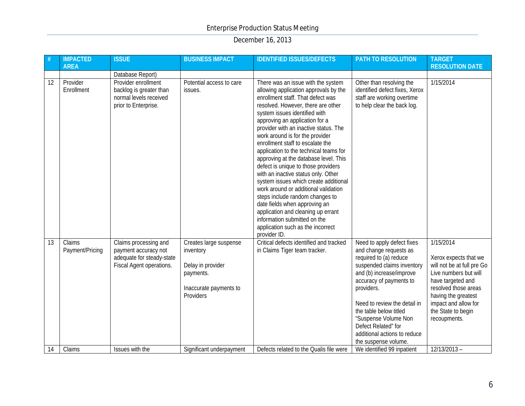| #               | <b>IMPACTED</b><br><b>AREA</b> | <b>ISSUE</b>                                                                                           | <b>BUSINESS IMPACT</b>                                                                                       | <b>IDENTIFIED ISSUES/DEFECTS</b>                                                                                                                                                                                                                                                                                                                                                                                                                                                                                                                                                                                                                                                                                                                                                           | <b>PATH TO RESOLUTION</b>                                                                                                                                                                                                                                                                                                                          | <b>TARGET</b><br><b>RESOLUTION DATE</b>                                                                                                                                                                                     |
|-----------------|--------------------------------|--------------------------------------------------------------------------------------------------------|--------------------------------------------------------------------------------------------------------------|--------------------------------------------------------------------------------------------------------------------------------------------------------------------------------------------------------------------------------------------------------------------------------------------------------------------------------------------------------------------------------------------------------------------------------------------------------------------------------------------------------------------------------------------------------------------------------------------------------------------------------------------------------------------------------------------------------------------------------------------------------------------------------------------|----------------------------------------------------------------------------------------------------------------------------------------------------------------------------------------------------------------------------------------------------------------------------------------------------------------------------------------------------|-----------------------------------------------------------------------------------------------------------------------------------------------------------------------------------------------------------------------------|
|                 |                                | Database Report)                                                                                       |                                                                                                              |                                                                                                                                                                                                                                                                                                                                                                                                                                                                                                                                                                                                                                                                                                                                                                                            |                                                                                                                                                                                                                                                                                                                                                    |                                                                                                                                                                                                                             |
| 12              | Provider<br>Enrollment         | Provider enrollment<br>backlog is greater than<br>normal levels received<br>prior to Enterprise.       | Potential access to care<br>issues.                                                                          | There was an issue with the system<br>allowing application approvals by the<br>enrollment staff. That defect was<br>resolved. However, there are other<br>system issues identified with<br>approving an application for a<br>provider with an inactive status. The<br>work around is for the provider<br>enrollment staff to escalate the<br>application to the technical teams for<br>approving at the database level. This<br>defect is unique to those providers<br>with an inactive status only. Other<br>system issues which create additional<br>work around or additional validation<br>steps include random changes to<br>date fields when approving an<br>application and cleaning up errant<br>information submitted on the<br>application such as the incorrect<br>provider ID. | Other than resolving the<br>identified defect fixes, Xerox<br>staff are working overtime<br>to help clear the back log.                                                                                                                                                                                                                            | 1/15/2014                                                                                                                                                                                                                   |
| $\overline{13}$ | Claims<br>Payment/Pricing      | Claims processing and<br>payment accuracy not<br>adequate for steady-state<br>Fiscal Agent operations. | Creates large suspense<br>inventory<br>Delay in provider<br>payments.<br>Inaccurate payments to<br>Providers | Critical defects identified and tracked<br>in Claims Tiger team tracker.                                                                                                                                                                                                                                                                                                                                                                                                                                                                                                                                                                                                                                                                                                                   | Need to apply defect fixes<br>and change requests as<br>required to (a) reduce<br>suspended claims inventory<br>and (b) increase/improve<br>accuracy of payments to<br>providers.<br>Need to review the detail in<br>the table below titled<br>"Suspense Volume Non<br>Defect Related" for<br>additional actions to reduce<br>the suspense volume. | 1/15/2014<br>Xerox expects that we<br>will not be at full pre Go<br>Live numbers but will<br>have targeted and<br>resolved those areas<br>having the greatest<br>impact and allow for<br>the State to begin<br>recoupments. |
| 14              | Claims                         | Issues with the                                                                                        | Significant underpayment                                                                                     | Defects related to the Qualis file were                                                                                                                                                                                                                                                                                                                                                                                                                                                                                                                                                                                                                                                                                                                                                    | We identified 99 inpatient                                                                                                                                                                                                                                                                                                                         | $12/13/2013 -$                                                                                                                                                                                                              |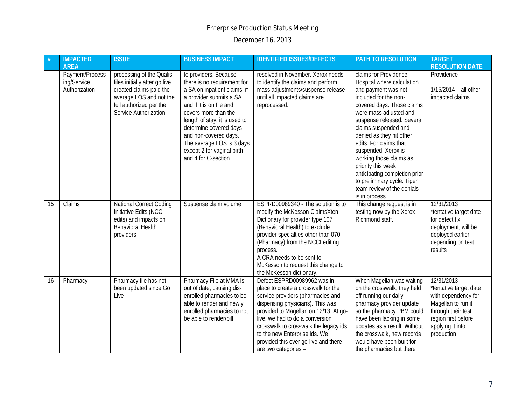|    | <b>IMPACTED</b><br><b>AREA</b>                  | <b>ISSUE</b>                                                                                                                                                        | <b>BUSINESS IMPACT</b>                                                                                                                                                                                                                                                                                                                    | <b>IDENTIFIED ISSUES/DEFECTS</b>                                                                                                                                                                                                                                                                                                                                  | PATH TO RESOLUTION                                                                                                                                                                                                                                                                                                                                                                                                                            | <b>TARGET</b><br><b>RESOLUTION DATE</b>                                                                                                                          |
|----|-------------------------------------------------|---------------------------------------------------------------------------------------------------------------------------------------------------------------------|-------------------------------------------------------------------------------------------------------------------------------------------------------------------------------------------------------------------------------------------------------------------------------------------------------------------------------------------|-------------------------------------------------------------------------------------------------------------------------------------------------------------------------------------------------------------------------------------------------------------------------------------------------------------------------------------------------------------------|-----------------------------------------------------------------------------------------------------------------------------------------------------------------------------------------------------------------------------------------------------------------------------------------------------------------------------------------------------------------------------------------------------------------------------------------------|------------------------------------------------------------------------------------------------------------------------------------------------------------------|
|    | Payment/Process<br>ing/Service<br>Authorization | processing of the Qualis<br>files initially after go live<br>created claims paid the<br>average LOS and not the<br>full authorized per the<br>Service Authorization | to providers. Because<br>there is no requirement for<br>a SA on inpatient claims, if<br>a provider submits a SA<br>and if it is on file and<br>covers more than the<br>length of stay, it is used to<br>determine covered days<br>and non-covered days.<br>The average LOS is 3 days<br>except 2 for vaginal birth<br>and 4 for C-section | resolved in November. Xerox needs<br>to identify the claims and perform<br>mass adjustments/suspense release<br>until all impacted claims are<br>reprocessed.                                                                                                                                                                                                     | claims for Providence<br>Hospital where calculation<br>and payment was not<br>included for the non-<br>covered days. Those claims<br>were mass adjusted and<br>suspense released. Several<br>claims suspended and<br>denied as they hit other<br>edits. For claims that<br>suspended, Xerox is<br>working those claims as<br>priority this week<br>anticipating completion prior<br>to preliminary cycle. Tiger<br>team review of the denials | Providence<br>$1/15/2014 - all other$<br>impacted claims                                                                                                         |
| 15 | Claims                                          | National Correct Coding<br>Initiative Edits (NCCI<br>edits) and impacts on<br><b>Behavioral Health</b><br>providers                                                 | Suspense claim volume                                                                                                                                                                                                                                                                                                                     | ESPRD00989340 - The solution is to<br>modify the McKesson ClaimsXten<br>Dictionary for provider type 107<br>(Behavioral Health) to exclude<br>provider specialties other than 070<br>(Pharmacy) from the NCCI editing<br>process.<br>A CRA needs to be sent to<br>McKesson to request this change to<br>the McKesson dictionary.                                  | is in process.<br>This change request is in<br>testing now by the Xerox<br>Richmond staff.                                                                                                                                                                                                                                                                                                                                                    | 12/31/2013<br>*tentative target date<br>for defect fix<br>deployment; will be<br>deployed earlier<br>depending on test<br>results                                |
| 16 | Pharmacy                                        | Pharmacy file has not<br>been updated since Go<br>Live                                                                                                              | Pharmacy File at MMA is<br>out of date, causing dis-<br>enrolled pharmacies to be<br>able to render and newly<br>enrolled pharmacies to not<br>be able to render/bill                                                                                                                                                                     | Defect ESPRD00989962 was in<br>place to create a crosswalk for the<br>service providers (pharmacies and<br>dispensing physicians). This was<br>provided to Magellan on 12/13. At go-<br>live, we had to do a conversion<br>crosswalk to crosswalk the legacy ids<br>to the new Enterprise ids. We<br>provided this over go-live and there<br>are two categories - | When Magellan was waiting<br>on the crosswalk, they held<br>off running our daily<br>pharmacy provider update<br>so the pharmacy PBM could<br>have been lacking in some<br>updates as a result. Without<br>the crosswalk, new records<br>would have been built for<br>the pharmacies but there                                                                                                                                                | 12/31/2013<br>*tentative target date<br>with dependency for<br>Magellan to run it<br>through their test<br>region first before<br>applying it into<br>production |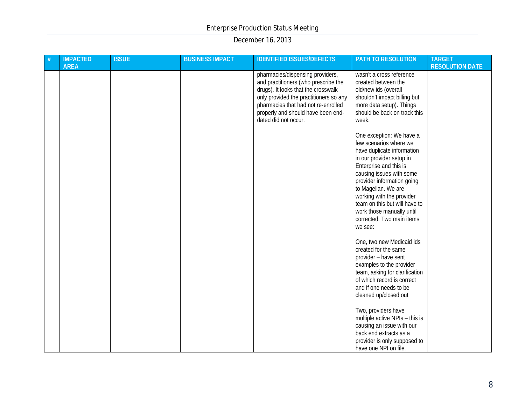| # | <b>IMPACTED</b><br><b>AREA</b> | <b>ISSUE</b> | <b>BUSINESS IMPACT</b> | <b>IDENTIFIED ISSUES/DEFECTS</b>                                                                                                                                                                                                                               | PATH TO RESOLUTION                                                                                                                                                                                                                                                                                                                                         | <b>TARGET</b><br><b>RESOLUTION DATE</b> |
|---|--------------------------------|--------------|------------------------|----------------------------------------------------------------------------------------------------------------------------------------------------------------------------------------------------------------------------------------------------------------|------------------------------------------------------------------------------------------------------------------------------------------------------------------------------------------------------------------------------------------------------------------------------------------------------------------------------------------------------------|-----------------------------------------|
|   |                                |              |                        | pharmacies/dispensing providers,<br>and practitioners (who prescribe the<br>drugs). It looks that the crosswalk<br>only provided the practitioners so any<br>pharmacies that had not re-enrolled<br>properly and should have been end-<br>dated did not occur. | wasn't a cross reference<br>created between the<br>old/new ids (overall<br>shouldn't impact billing but<br>more data setup). Things<br>should be back on track this<br>week.                                                                                                                                                                               |                                         |
|   |                                |              |                        |                                                                                                                                                                                                                                                                | One exception: We have a<br>few scenarios where we<br>have duplicate information<br>in our provider setup in<br>Enterprise and this is<br>causing issues with some<br>provider information going<br>to Magellan. We are<br>working with the provider<br>team on this but will have to<br>work those manually until<br>corrected. Two main items<br>we see: |                                         |
|   |                                |              |                        |                                                                                                                                                                                                                                                                | One, two new Medicaid ids<br>created for the same<br>provider - have sent<br>examples to the provider<br>team, asking for clarification<br>of which record is correct<br>and if one needs to be<br>cleaned up/closed out                                                                                                                                   |                                         |
|   |                                |              |                        |                                                                                                                                                                                                                                                                | Two, providers have<br>multiple active NPIs - this is<br>causing an issue with our<br>back end extracts as a<br>provider is only supposed to<br>have one NPI on file.                                                                                                                                                                                      |                                         |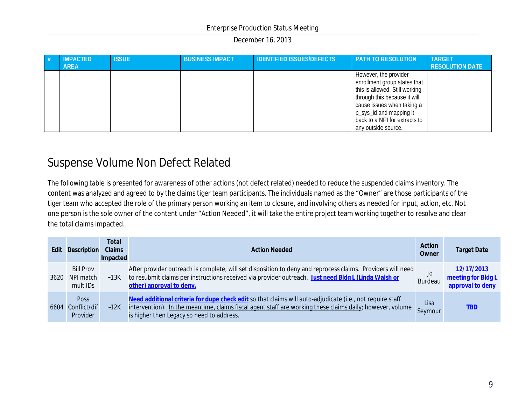| # | <b>IMPACTED</b> | <b>ISSUE</b> | <b>BUSINESS IMPACT</b> | <b>IDENTIFIED ISSUES/DEFECTS</b> | <b>PATH TO RESOLUTION</b>      | <b>TARGET</b>          |
|---|-----------------|--------------|------------------------|----------------------------------|--------------------------------|------------------------|
|   | <b>AREA</b>     |              |                        |                                  |                                | <b>RESOLUTION DATE</b> |
|   |                 |              |                        |                                  | However, the provider          |                        |
|   |                 |              |                        |                                  | enrollment group states that   |                        |
|   |                 |              |                        |                                  | this is allowed. Still working |                        |
|   |                 |              |                        |                                  | through this because it will   |                        |
|   |                 |              |                        |                                  | cause issues when taking a     |                        |
|   |                 |              |                        |                                  | p_sys_id and mapping it        |                        |
|   |                 |              |                        |                                  | back to a NPI for extracts to  |                        |
|   |                 |              |                        |                                  | any outside source.            |                        |

# Suspense Volume Non Defect Related

The following table is presented for awareness of other actions (not defect related) needed to reduce the suspended claims inventory. The content was analyzed and agreed to by the claims tiger team participants. The individuals named as the "Owner" are those participants of the tiger team who accepted the role of the primary person working an item to closure, and involving others as needed for input, action, etc. Not one person is the sole owner of the content under "Action Needed", it will take the entire project team working together to resolve and clear the total claims impacted.

| <b>Edit</b> | Description                               | <b>Total</b><br>Claims<br>Impacted | <b>Action Needed</b>                                                                                                                                                                                                                                                | Action<br>Owner | <b>Target Date</b>                                   |
|-------------|-------------------------------------------|------------------------------------|---------------------------------------------------------------------------------------------------------------------------------------------------------------------------------------------------------------------------------------------------------------------|-----------------|------------------------------------------------------|
| 3620        | <b>Bill Prov</b><br>NPI match<br>mult IDs |                                    | After provider outreach is complete, will set disposition to deny and reprocess claims. Providers will need<br>~13K to resubmit claims per instructions received via provider outreach. Just need Bldg L (Linda Walsh or<br>other) approval to deny.                | Jo<br>Burdeau   | 12/17/2013<br>meeting for Bldg L<br>approval to deny |
| 6604        | <b>Poss</b><br>Conflict/dif<br>Provider   | ~12K                               | Need additional criteria for dupe check edit so that claims will auto-adjudicate (i.e., not require staff<br>intervention). In the meantime, claims fiscal agent staff are working these claims daily; however, volume<br>is higher then Legacy so need to address. | Lisa<br>Seymour | <b>TBD</b>                                           |